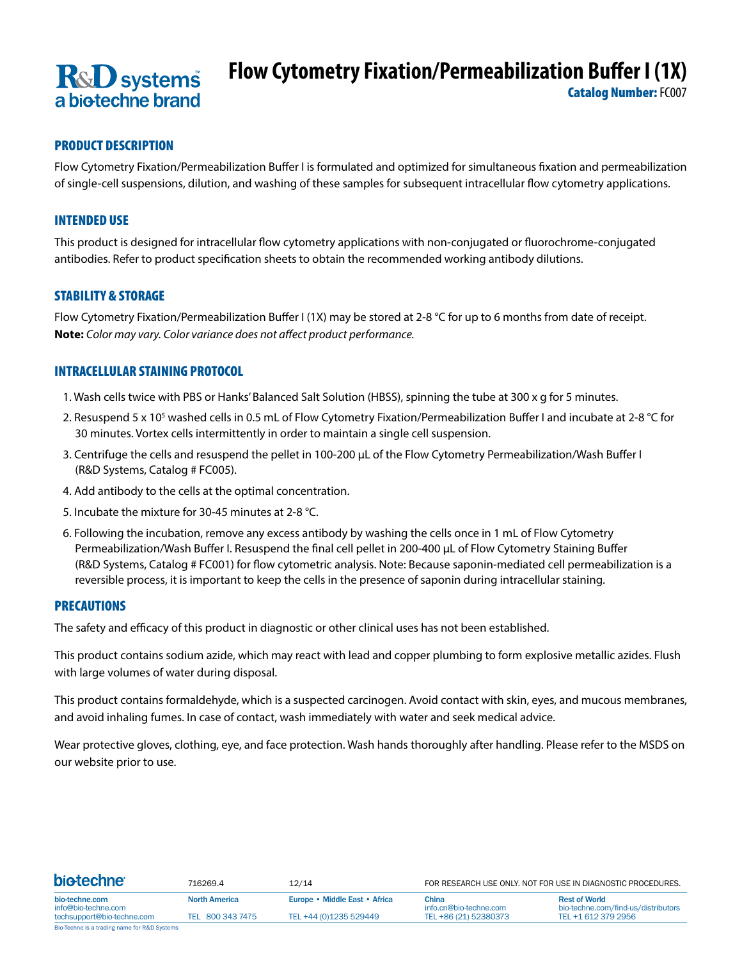# **R&D** systems a biotechne brand

# **Flow Cytometry Fixation/Permeabilization Buffer I (1X)**

Catalog Number: FC007

## PRODUCT DESCRIPTION

Flow Cytometry Fixation/Permeabilization Buffer I is formulated and optimized for simultaneous fixation and permeabilization of single-cell suspensions, dilution, and washing of these samples for subsequent intracellular flow cytometry applications.

## INTENDED USE

This product is designed for intracellular flow cytometry applications with non-conjugated or fluorochrome-conjugated antibodies. Refer to product specification sheets to obtain the recommended working antibody dilutions.

#### STABILITY & STORAGE

Flow Cytometry Fixation/Permeabilization Buffer I (1X) may be stored at 2-8 °C for up to 6 months from date of receipt. **Note:** *Color may vary. Color variance does not affect product performance.*

## INTRACELLULAR STAINING PROTOCOL

- 1. Wash cells twice with PBS or Hanks' Balanced Salt Solution (HBSS), spinning the tube at 300 x g for 5 minutes.
- 2. Resuspend 5 x 10<sup>5</sup> washed cells in 0.5 mL of Flow Cytometry Fixation/Permeabilization Buffer I and incubate at 2-8 °C for 30 minutes. Vortex cells intermittently in order to maintain a single cell suspension.
- 3. Centrifuge the cells and resuspend the pellet in 100-200 μL of the Flow Cytometry Permeabilization/Wash Buffer I (R&D Systems, Catalog # FC005).
- 4. Add antibody to the cells at the optimal concentration.
- 5. Incubate the mixture for 30-45 minutes at 2-8 °C.
- 6. Following the incubation, remove any excess antibody by washing the cells once in 1 mL of Flow Cytometry Permeabilization/Wash Buffer I. Resuspend the final cell pellet in 200-400 μL of Flow Cytometry Staining Buffer (R&D Systems, Catalog # FC001) for flow cytometric analysis. Note: Because saponin-mediated cell permeabilization is a reversible process, it is important to keep the cells in the presence of saponin during intracellular staining.

#### PRECAUTIONS

The safety and efficacy of this product in diagnostic or other clinical uses has not been established.

This product contains sodium azide, which may react with lead and copper plumbing to form explosive metallic azides. Flush with large volumes of water during disposal.

This product contains formaldehyde, which is a suspected carcinogen. Avoid contact with skin, eyes, and mucous membranes, and avoid inhaling fumes. In case of contact, wash immediately with water and seek medical advice.

Wear protective gloves, clothing, eye, and face protection. Wash hands thoroughly after handling. Please refer to the MSDS on our website prior to use.

| <b>biotechne</b>                             | 716269.4<br><b>North America</b> | 12/14<br>Europe • Middle East • Africa | FOR RESEARCH USE ONLY. NOT FOR USE IN DIAGNOSTIC PROCEDURES. |                                                             |
|----------------------------------------------|----------------------------------|----------------------------------------|--------------------------------------------------------------|-------------------------------------------------------------|
| bio-techne.com<br>info@bio-techne.com        |                                  |                                        | China<br>info.cn@bio-techne.com                              | <b>Rest of World</b><br>bio-techne.com/find-us/distributors |
| techsupport@bio-techne.com                   | TEL 800 343 7475                 | TEL +44 (0)1235 529449                 | TEL +86 (21) 52380373                                        | TEL +1 612 379 2956                                         |
| Bio-Techne is a trading name for R&D Systems |                                  |                                        |                                                              |                                                             |